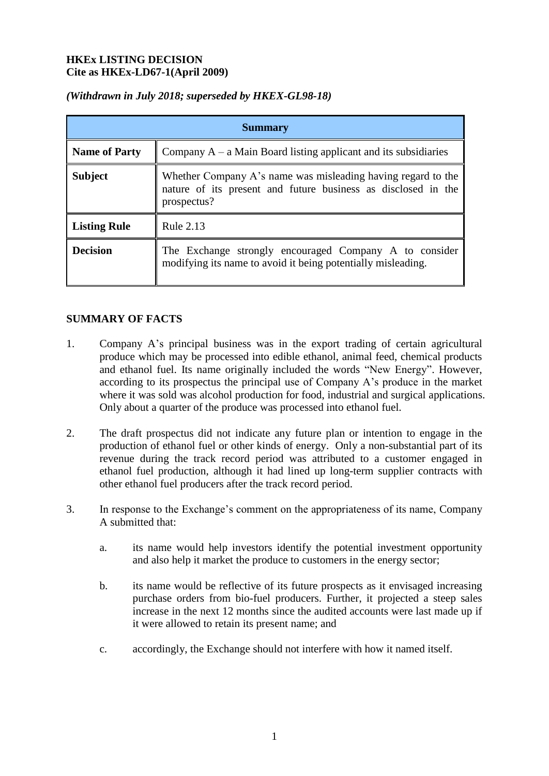#### **HKEx LISTING DECISION Cite as HKEx-LD67-1(April 2009)**

| <b>Summary</b>       |                                                                                                                                              |
|----------------------|----------------------------------------------------------------------------------------------------------------------------------------------|
| <b>Name of Party</b> | Company $A - a$ Main Board listing applicant and its subsidiaries                                                                            |
| <b>Subject</b>       | Whether Company A's name was misleading having regard to the<br>nature of its present and future business as disclosed in the<br>prospectus? |
| <b>Listing Rule</b>  | Rule 2.13                                                                                                                                    |
| <b>Decision</b>      | The Exchange strongly encouraged Company A to consider<br>modifying its name to avoid it being potentially misleading.                       |

## *(Withdrawn in July 2018; superseded by HKEX-GL98-18)*

## **SUMMARY OF FACTS**

- 1. Company A's principal business was in the export trading of certain agricultural produce which may be processed into edible ethanol, animal feed, chemical products and ethanol fuel. Its name originally included the words "New Energy". However, according to its prospectus the principal use of Company A's produce in the market where it was sold was alcohol production for food, industrial and surgical applications. Only about a quarter of the produce was processed into ethanol fuel.
- 2. The draft prospectus did not indicate any future plan or intention to engage in the production of ethanol fuel or other kinds of energy. Only a non-substantial part of its revenue during the track record period was attributed to a customer engaged in ethanol fuel production, although it had lined up long-term supplier contracts with other ethanol fuel producers after the track record period.
- 3. In response to the Exchange's comment on the appropriateness of its name, Company A submitted that:
	- a. its name would help investors identify the potential investment opportunity and also help it market the produce to customers in the energy sector;
	- b. its name would be reflective of its future prospects as it envisaged increasing purchase orders from bio-fuel producers. Further, it projected a steep sales increase in the next 12 months since the audited accounts were last made up if it were allowed to retain its present name; and
	- c. accordingly, the Exchange should not interfere with how it named itself.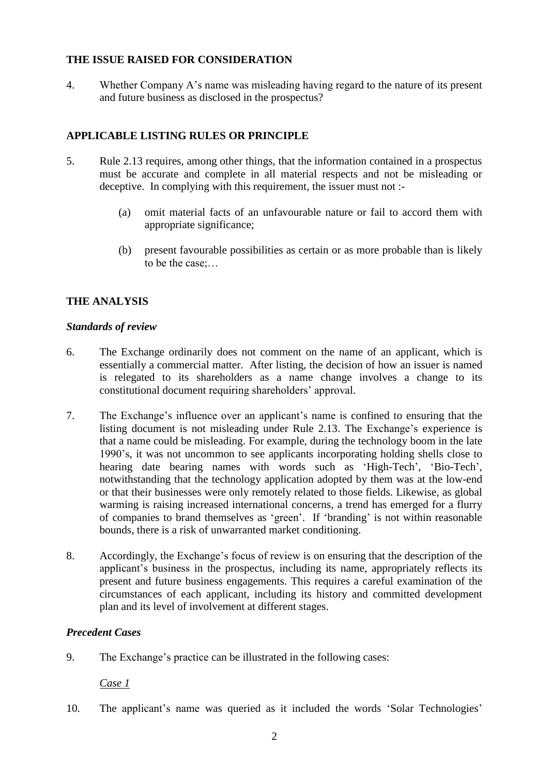## **THE ISSUE RAISED FOR CONSIDERATION**

4. Whether Company A's name was misleading having regard to the nature of its present and future business as disclosed in the prospectus?

# **APPLICABLE LISTING RULES OR PRINCIPLE**

- 5. Rule 2.13 requires, among other things, that the information contained in a prospectus must be accurate and complete in all material respects and not be misleading or deceptive. In complying with this requirement, the issuer must not :-
	- (a) omit material facts of an unfavourable nature or fail to accord them with appropriate significance;
	- (b) present favourable possibilities as certain or as more probable than is likely to be the case;…

# **THE ANALYSIS**

#### *Standards of review*

- 6. The Exchange ordinarily does not comment on the name of an applicant, which is essentially a commercial matter. After listing, the decision of how an issuer is named is relegated to its shareholders as a name change involves a change to its constitutional document requiring shareholders' approval.
- 7. The Exchange's influence over an applicant's name is confined to ensuring that the listing document is not misleading under Rule 2.13. The Exchange's experience is that a name could be misleading. For example, during the technology boom in the late 1990's, it was not uncommon to see applicants incorporating holding shells close to hearing date bearing names with words such as 'High-Tech', 'Bio-Tech', notwithstanding that the technology application adopted by them was at the low-end or that their businesses were only remotely related to those fields. Likewise, as global warming is raising increased international concerns, a trend has emerged for a flurry of companies to brand themselves as 'green'. If 'branding' is not within reasonable bounds, there is a risk of unwarranted market conditioning.
- 8. Accordingly, the Exchange's focus of review is on ensuring that the description of the applicant's business in the prospectus, including its name, appropriately reflects its present and future business engagements. This requires a careful examination of the circumstances of each applicant, including its history and committed development plan and its level of involvement at different stages.

## *Precedent Cases*

9. The Exchange's practice can be illustrated in the following cases:

 *Case 1*

10. The applicant's name was queried as it included the words 'Solar Technologies'